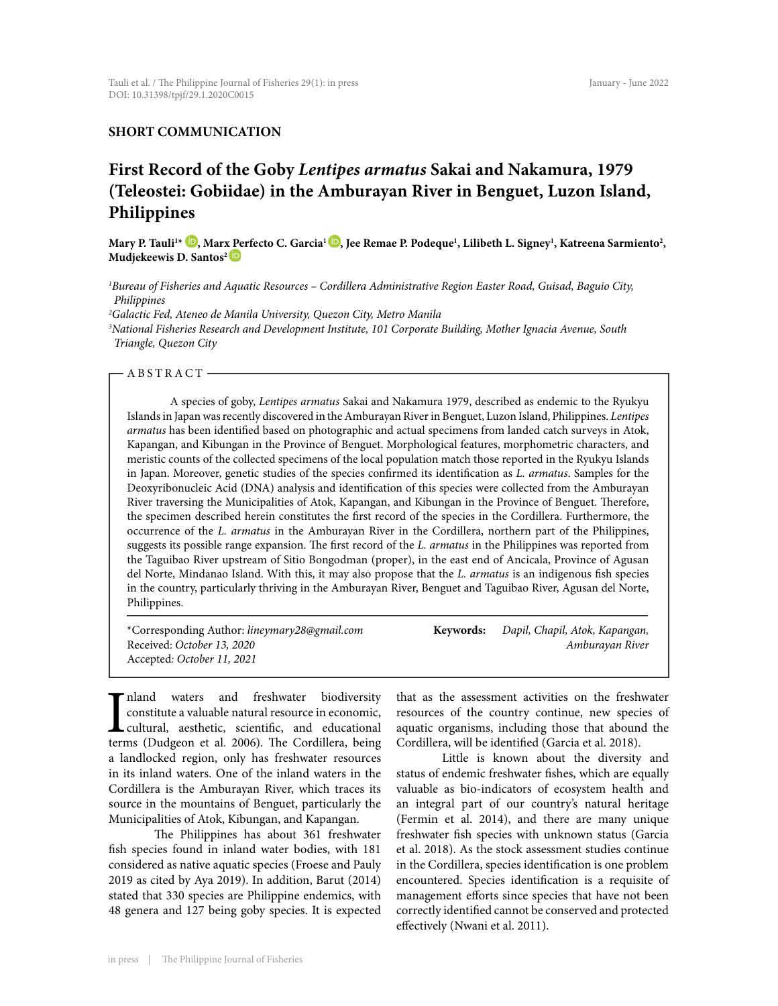# **SHORT COMMUNICATION**

# **First Record of the Goby** *Lentipes armatus* **Sakai and Nakamura, 1979 (Teleostei: Gobiidae) in the Amburayan River in Benguet, Luzon Island, Philippines**

Mary P. Tauli<sup>14</sup> ©, Mar[x Pe](https://orcid.org/0000-0002-4770-1221)rfecto C. Garcia<sup>l </sup>©, Jee Remae P. Podeque<sup>1</sup>, Lilibeth L. Signey<sup>1</sup>, Katreena Sarmiento<sup>2</sup>, **Mudjekeewis D. Santos2** 

*1 Bureau of Fisheries and Aquatic Resources – Cordillera Administrative Region Easter Road, Guisad, Baguio City, Philippines*

*2 Galactic Fed, Ateneo de Manila University, Quezon City, Metro Manila*

*3 National Fisheries Research and Development Institute, 101 Corporate Building, Mother Ignacia Avenue, South Triangle, Quezon City*

#### -ABSTRACT-

A species of goby, *Lentipes armatus* Sakai and Nakamura 1979, described as endemic to the Ryukyu Islands in Japan was recently discovered in the Amburayan River in Benguet, Luzon Island, Philippines. *Lentipes armatus* has been identified based on photographic and actual specimens from landed catch surveys in Atok, Kapangan, and Kibungan in the Province of Benguet. Morphological features, morphometric characters, and meristic counts of the collected specimens of the local population match those reported in the Ryukyu Islands in Japan. Moreover, genetic studies of the species confirmed its identification as *L. armatus*. Samples for the Deoxyribonucleic Acid (DNA) analysis and identification of this species were collected from the Amburayan River traversing the Municipalities of Atok, Kapangan, and Kibungan in the Province of Benguet. Therefore, the specimen described herein constitutes the first record of the species in the Cordillera. Furthermore, the occurrence of the *L. armatus* in the Amburayan River in the Cordillera, northern part of the Philippines, suggests its possible range expansion. The first record of the *L. armatus* in the Philippines was reported from the Taguibao River upstream of Sitio Bongodman (proper), in the east end of Ancicala, Province of Agusan del Norte, Mindanao Island. With this, it may also propose that the *L. armatus* is an indigenous fish species in the country, particularly thriving in the Amburayan River, Benguet and Taguibao River, Agusan del Norte, Philippines.

| *Corresponding Author: lineymary28@gmail.com * | Keywords: | Dapil, Chapil, Atok, Kapangan, |
|------------------------------------------------|-----------|--------------------------------|
| Received: October 13, 2020                     |           | Amburavan River                |
| Accepted: October 11, 2021                     |           |                                |

I<sub>tern</sub> nland waters and freshwater biodiversity constitute a valuable natural resource in economic, cultural, aesthetic, scientific, and educational terms (Dudgeon et al. 2006). The Cordillera, being a landlocked region, only has freshwater resources in its inland waters. One of the inland waters in the Cordillera is the Amburayan River, which traces its source in the mountains of Benguet, particularly the Municipalities of Atok, Kibungan, and Kapangan.

The Philippines has about 361 freshwater fish species found in inland water bodies, with 181 considered as native aquatic species (Froese and Pauly 2019 as cited by Aya 2019). In addition, Barut (2014) stated that 330 species are Philippine endemics, with 48 genera and 127 being goby species. It is expected

that as the assessment activities on the freshwater resources of the country continue, new species of aquatic organisms, including those that abound the Cordillera, will be identified (Garcia et al. 2018).

Little is known about the diversity and status of endemic freshwater fishes, which are equally valuable as bio-indicators of ecosystem health and an integral part of our country's natural heritage (Fermin et al. 2014), and there are many unique freshwater fish species with unknown status (Garcia et al. 2018). As the stock assessment studies continue in the Cordillera, species identification is one problem encountered. Species identification is a requisite of management efforts since species that have not been correctly identified cannot be conserved and protected effectively (Nwani et al. 2011).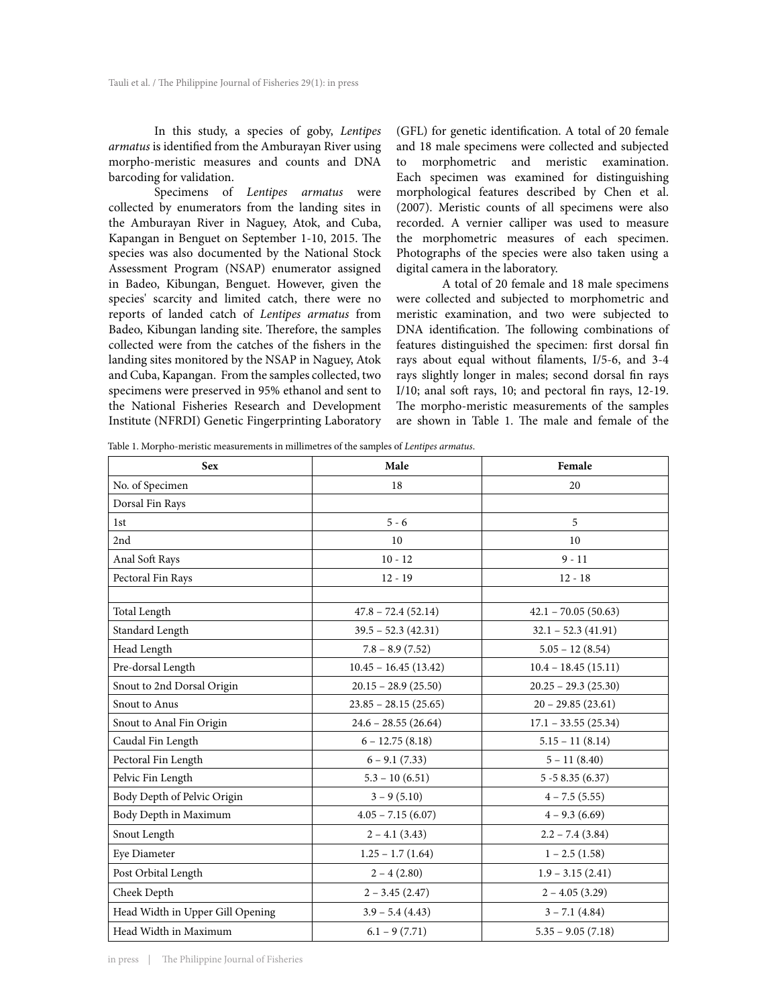In this study, a species of goby, *Lentipes armatus* is identified from the Amburayan River using morpho-meristic measures and counts and DNA barcoding for validation.

Specimens of *Lentipes armatus* were collected by enumerators from the landing sites in the Amburayan River in Naguey, Atok, and Cuba, Kapangan in Benguet on September 1-10, 2015. The species was also documented by the National Stock Assessment Program (NSAP) enumerator assigned in Badeo, Kibungan, Benguet. However, given the species' scarcity and limited catch, there were no reports of landed catch of *Lentipes armatus* from Badeo, Kibungan landing site. Therefore, the samples collected were from the catches of the fishers in the landing sites monitored by the NSAP in Naguey, Atok and Cuba, Kapangan. From the samples collected, two specimens were preserved in 95% ethanol and sent to the National Fisheries Research and Development Institute (NFRDI) Genetic Fingerprinting Laboratory

(GFL) for genetic identification. A total of 20 female and 18 male specimens were collected and subjected to morphometric and meristic examination. Each specimen was examined for distinguishing morphological features described by Chen et al. (2007). Meristic counts of all specimens were also recorded. A vernier calliper was used to measure the morphometric measures of each specimen. Photographs of the species were also taken using a digital camera in the laboratory.

A total of 20 female and 18 male specimens were collected and subjected to morphometric and meristic examination, and two were subjected to DNA identification. The following combinations of features distinguished the specimen: first dorsal fin rays about equal without filaments, I/5-6, and 3-4 rays slightly longer in males; second dorsal fin rays I/10; anal soft rays, 10; and pectoral fin rays, 12-19. The morpho-meristic measurements of the samples are shown in Table 1. The male and female of the

Table 1. Morpho-meristic measurements in millimetres of the samples of *Lentipes armatus*.

| <b>Sex</b>                       | Male                   | Female                |
|----------------------------------|------------------------|-----------------------|
| No. of Specimen                  | 18                     | 20                    |
| Dorsal Fin Rays                  |                        |                       |
| 1st                              | $5 - 6$                | 5                     |
| 2nd                              | 10                     | 10                    |
| Anal Soft Rays                   | $10 - 12$              | $9 - 11$              |
| Pectoral Fin Rays                | $12 - 19$              | $12 - 18$             |
|                                  |                        |                       |
| Total Length                     | $47.8 - 72.4(52.14)$   | $42.1 - 70.05(50.63)$ |
| Standard Length                  | $39.5 - 52.3(42.31)$   | $32.1 - 52.3(41.91)$  |
| Head Length                      | $7.8 - 8.9(7.52)$      | $5.05 - 12(8.54)$     |
| Pre-dorsal Length                | $10.45 - 16.45(13.42)$ | $10.4 - 18.45(15.11)$ |
| Snout to 2nd Dorsal Origin       | $20.15 - 28.9(25.50)$  | $20.25 - 29.3(25.30)$ |
| Snout to Anus                    | $23.85 - 28.15(25.65)$ | $20 - 29.85(23.61)$   |
| Snout to Anal Fin Origin         | $24.6 - 28.55(26.64)$  | $17.1 - 33.55(25.34)$ |
| Caudal Fin Length                | $6 - 12.75(8.18)$      | $5.15 - 11(8.14)$     |
| Pectoral Fin Length              | $6 - 9.1(7.33)$        | $5 - 11(8.40)$        |
| Pelvic Fin Length                | $5.3 - 10(6.51)$       | $5 - 58.35(6.37)$     |
| Body Depth of Pelvic Origin      | $3 - 9(5.10)$          | $4 - 7.5(5.55)$       |
| Body Depth in Maximum            | $4.05 - 7.15(6.07)$    | $4 - 9.3(6.69)$       |
| Snout Length                     | $2 - 4.1(3.43)$        | $2.2 - 7.4$ (3.84)    |
| Eye Diameter                     | $1.25 - 1.7(1.64)$     | $1 - 2.5(1.58)$       |
| Post Orbital Length              | $2 - 4(2.80)$          | $1.9 - 3.15(2.41)$    |
| Cheek Depth                      | $2 - 3.45(2.47)$       | $2 - 4.05(3.29)$      |
| Head Width in Upper Gill Opening | $3.9 - 5.4(4.43)$      | $3 - 7.1(4.84)$       |
| Head Width in Maximum            | $6.1 - 9(7.71)$        | $5.35 - 9.05(7.18)$   |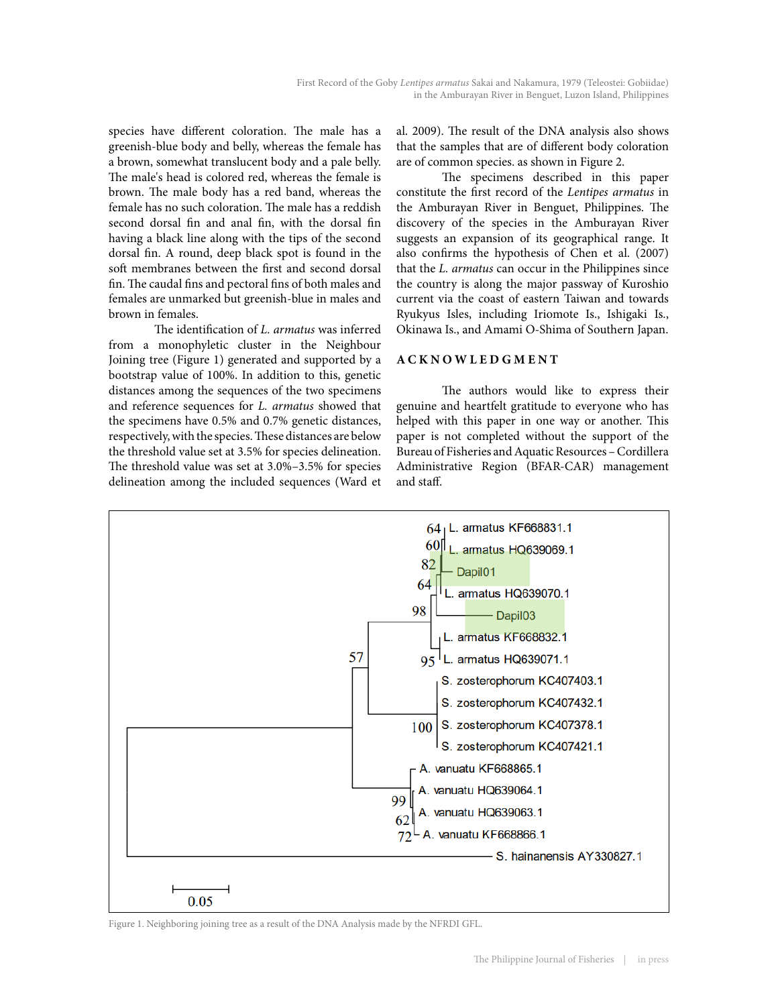species have different coloration. The male has a greenish-blue body and belly, whereas the female has a brown, somewhat translucent body and a pale belly. The male's head is colored red, whereas the female is brown. The male body has a red band, whereas the female has no such coloration. The male has a reddish second dorsal fin and anal fin, with the dorsal fin having a black line along with the tips of the second dorsal fin. A round, deep black spot is found in the soft membranes between the first and second dorsal fin. The caudal fins and pectoral fins of both males and females are unmarked but greenish-blue in males and brown in females.

The identification of *L. armatus* was inferred from a monophyletic cluster in the Neighbour Joining tree (Figure 1) generated and supported by a bootstrap value of 100%. In addition to this, genetic distances among the sequences of the two specimens and reference sequences for *L. armatus* showed that the specimens have 0.5% and 0.7% genetic distances, respectively, with the species. These distances are below the threshold value set at 3.5% for species delineation. The threshold value was set at 3.0%–3.5% for species delineation among the included sequences (Ward et

al. 2009). The result of the DNA analysis also shows that the samples that are of different body coloration are of common species. as shown in Figure 2.

The specimens described in this paper constitute the first record of the *Lentipes armatus* in the Amburayan River in Benguet, Philippines. The discovery of the species in the Amburayan River suggests an expansion of its geographical range. It also confirms the hypothesis of Chen et al. (2007) that the *L. armatus* can occur in the Philippines since the country is along the major passway of Kuroshio current via the coast of eastern Taiwan and towards Ryukyus Isles, including Iriomote Is., Ishigaki Is., Okinawa Is., and Amami O-Shima of Southern Japan.

# **ACKNOWLEDGMENT**

The authors would like to express their genuine and heartfelt gratitude to everyone who has helped with this paper in one way or another. This paper is not completed without the support of the Bureau of Fisheries and Aquatic Resources – Cordillera Administrative Region (BFAR-CAR) management and staff.



Figure 1. Neighboring joining tree as a result of the DNA Analysis made by the NFRDI GFL.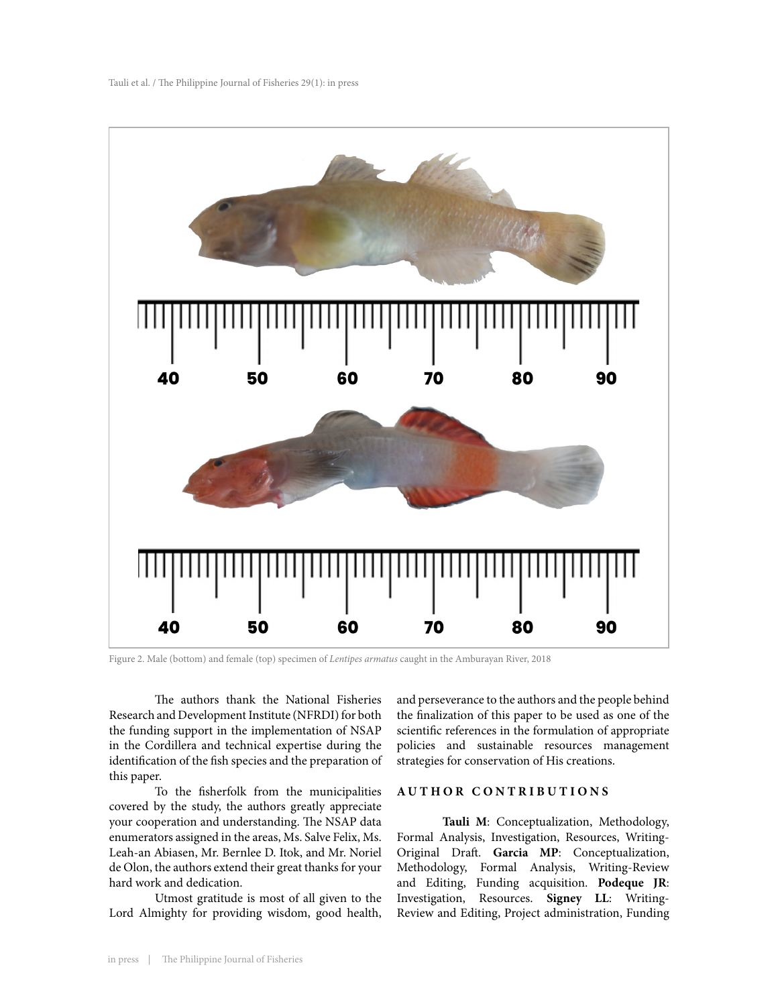

Figure 2. Male (bottom) and female (top) specimen of *Lentipes armatus* caught in the Amburayan River, 2018

The authors thank the National Fisheries Research and Development Institute (NFRDI) for both the funding support in the implementation of NSAP in the Cordillera and technical expertise during the identification of the fish species and the preparation of this paper.

To the fisherfolk from the municipalities covered by the study, the authors greatly appreciate your cooperation and understanding. The NSAP data enumerators assigned in the areas, Ms. Salve Felix, Ms. Leah-an Abiasen, Mr. Bernlee D. Itok, and Mr. Noriel de Olon, the authors extend their great thanks for your hard work and dedication.

Utmost gratitude is most of all given to the Lord Almighty for providing wisdom, good health, and perseverance to the authors and the people behind the finalization of this paper to be used as one of the scientific references in the formulation of appropriate policies and sustainable resources management strategies for conservation of His creations.

### **AUTHOR CONTRIBUTIONS**

**Tauli M**: Conceptualization, Methodology, Formal Analysis, Investigation, Resources, Writing-Original Draft. **Garcia MP**: Conceptualization, Methodology, Formal Analysis, Writing-Review and Editing, Funding acquisition. **Podeque JR**: Investigation, Resources. **Signey LL**: Writing-Review and Editing, Project administration, Funding